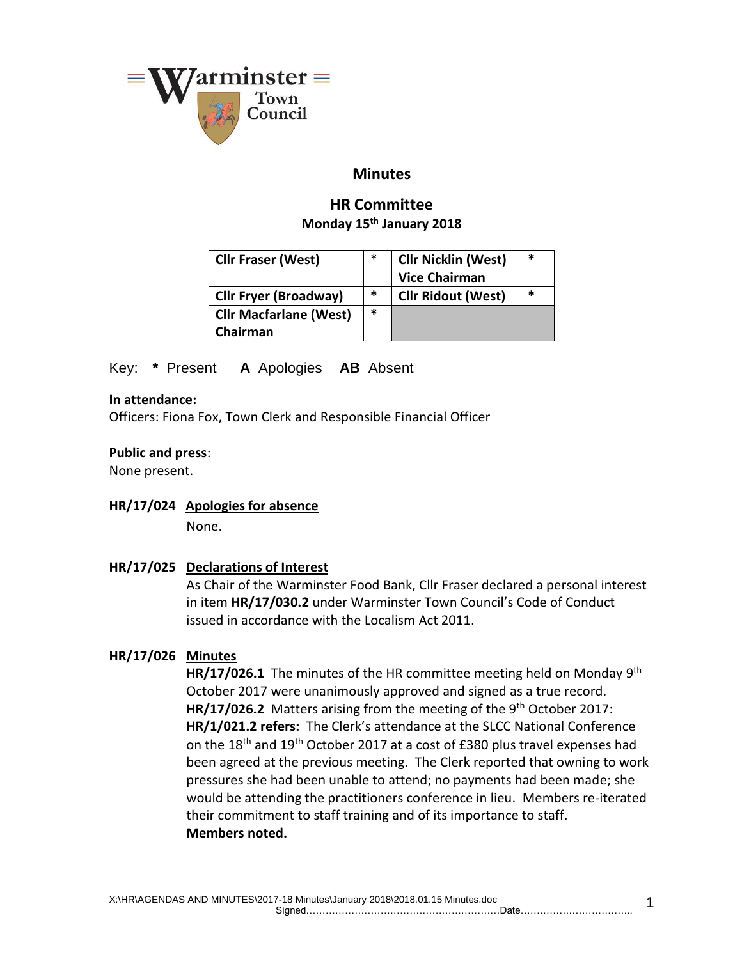

### **Minutes**

## **HR Committee Monday 15th January 2018**

| <b>Cllr Fraser (West)</b>     | ∗ | <b>Cllr Nicklin (West)</b><br><b>Vice Chairman</b> | * |
|-------------------------------|---|----------------------------------------------------|---|
| <b>Cllr Fryer (Broadway)</b>  | ∗ | <b>Cllr Ridout (West)</b>                          | * |
| <b>Cllr Macfarlane (West)</b> | * |                                                    |   |
| Chairman                      |   |                                                    |   |

Key: **\*** Present **A** Apologies **AB** Absent

#### **In attendance:**

Officers: Fiona Fox, Town Clerk and Responsible Financial Officer

#### **Public and press**:

None present.

# **HR/17/024 Apologies for absence**

None.

#### **HR/17/025 Declarations of Interest**

As Chair of the Warminster Food Bank, Cllr Fraser declared a personal interest in item **HR/17/030.2** under Warminster Town Council's Code of Conduct issued in accordance with the Localism Act 2011.

### **HR/17/026 Minutes**

**HR/17/026.1** The minutes of the HR committee meeting held on Monday 9<sup>th</sup> October 2017 were unanimously approved and signed as a true record. **HR/17/026.2** Matters arising from the meeting of the 9<sup>th</sup> October 2017: **HR/1/021.2 refers:** The Clerk's attendance at the SLCC National Conference on the 18th and 19th October 2017 at a cost of £380 plus travel expenses had been agreed at the previous meeting. The Clerk reported that owning to work pressures she had been unable to attend; no payments had been made; she would be attending the practitioners conference in lieu. Members re-iterated their commitment to staff training and of its importance to staff. **Members noted.**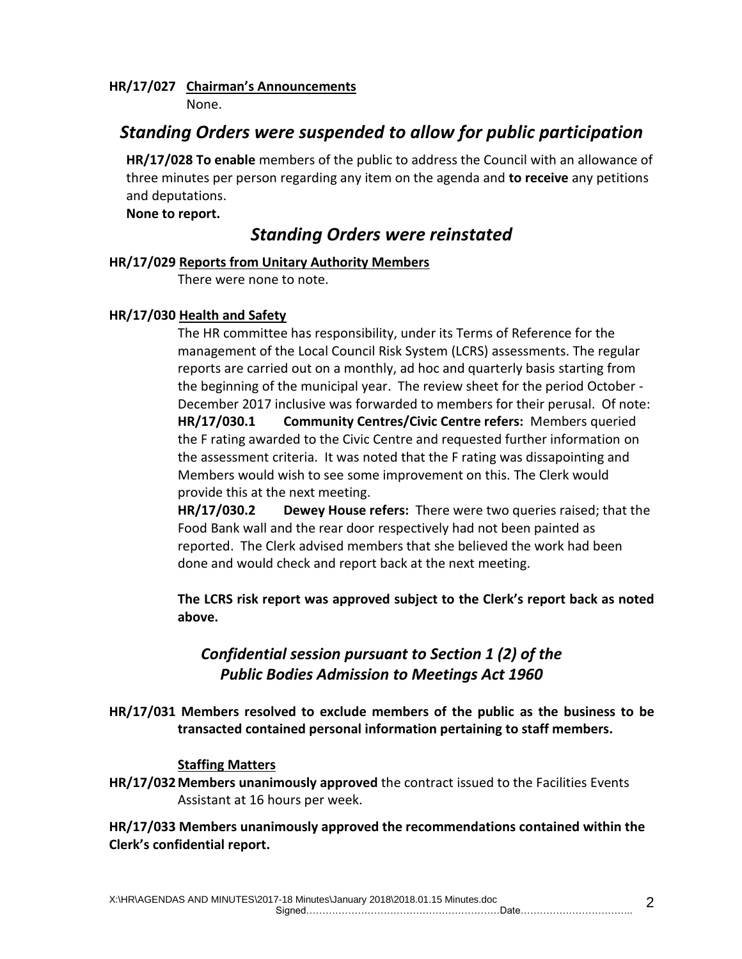#### **HR/17/027 Chairman's Announcements** None.

# *Standing Orders were suspended to allow for public participation*

**HR/17/028 To enable** members of the public to address the Council with an allowance of three minutes per person regarding any item on the agenda and **to receive** any petitions and deputations.

**None to report.**

# *Standing Orders were reinstated*

### **HR/17/029 Reports from Unitary Authority Members**

There were none to note.

### **HR/17/030 Health and Safety**

The HR committee has responsibility, under its Terms of Reference for the management of the Local Council Risk System (LCRS) assessments. The regular reports are carried out on a monthly, ad hoc and quarterly basis starting from the beginning of the municipal year. The review sheet for the period October - December 2017 inclusive was forwarded to members for their perusal. Of note: **HR/17/030.1 Community Centres/Civic Centre refers:** Members queried the F rating awarded to the Civic Centre and requested further information on the assessment criteria. It was noted that the F rating was dissapointing and Members would wish to see some improvement on this. The Clerk would provide this at the next meeting.

**HR/17/030.2 Dewey House refers:** There were two queries raised; that the Food Bank wall and the rear door respectively had not been painted as reported. The Clerk advised members that she believed the work had been done and would check and report back at the next meeting.

**The LCRS risk report was approved subject to the Clerk's report back as noted above.**

# *Confidential session pursuant to Section 1 (2) of the Public Bodies Admission to Meetings Act 1960*

**HR/17/031 Members resolved to exclude members of the public as the business to be transacted contained personal information pertaining to staff members.**

### **Staffing Matters**

**HR/17/032Members unanimously approved** the contract issued to the Facilities Events Assistant at 16 hours per week.

**HR/17/033 Members unanimously approved the recommendations contained within the Clerk's confidential report.**